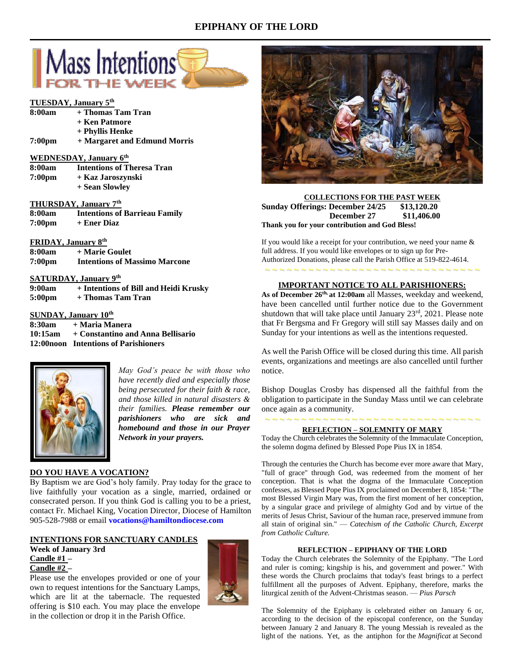## **EPIPHANY OF THE LORD**



## **TUESDAY, January 5th**

| 8:00am | + Thomas Tam Tran |
|--------|-------------------|
|        |                   |

- **+ Ken Patmore**
- **+ Phyllis Henke**
- **7:00pm + Margaret and Edmund Morris**

## **WEDNESDAY, January 6th**

| 8:00am             | <b>Intentions of Theresa Tran</b> |
|--------------------|-----------------------------------|
| 7:00 <sub>pm</sub> | + Kaz Jaroszynski                 |
|                    | + Sean Slowley                    |

## **THURSDAY, January 7th**

| 8:00am             | <b>Intentions of Barrieau Family</b> |
|--------------------|--------------------------------------|
| 7:00 <sub>pm</sub> | + Ener Diaz                          |

## **FRIDAY, January 8th**

| 8:00am             | + Marie Goulet                       |
|--------------------|--------------------------------------|
| 7:00 <sub>pm</sub> | <b>Intentions of Massimo Marcone</b> |

## **SATURDAY, January 9th**

| 9:00am             | + Intentions of Bill and Heidi Krusky |
|--------------------|---------------------------------------|
| 5:00 <sub>pm</sub> | + Thomas Tam Tran                     |

## **SUNDAY, January 10th**

**8:30am + Maria Manera 10:15am + Constantino and Anna Bellisario 12:00noon Intentions of Parishioners**



*May God's peace be with those who have recently died and especially those being persecuted for their faith & race, and those killed in natural disasters & their families. Please remember our parishioners who are sick and homebound and those in our Prayer Network in your prayers.*

## **DO YOU HAVE A VOCATION?**

By Baptism we are God's holy family. Pray today for the grace to live faithfully your vocation as a single, married, ordained or consecrated person. If you think God is calling you to be a priest, contact Fr. Michael King, Vocation Director, Diocese of Hamilton 905-528-7988 or email **[vocations@hamiltondiocese.com](mailto:vocations@hamiltondiocese.com)**

## **INTENTIONS FOR SANCTUARY CANDLES**

**Week of January 3rd Candle #1 – Candle #2 –**

Please use the envelopes provided or one of your own to request intentions for the Sanctuary Lamps, which are lit at the tabernacle. The requested offering is \$10 each. You may place the envelope in the collection or drop it in the Parish Office.





**COLLECTIONS FOR THE PAST WEEK Sunday Offerings: December 24/25 \$13,120.20 December 27 \$11,406.00 Thank you for your contribution and God Bless!**

If you would like a receipt for your contribution, we need your name & full address. If you would like envelopes or to sign up for Pre-Authorized Donations, please call the Parish Office at 519-822-4614.

# ~ ~ ~ ~ ~ ~ ~ ~ ~ ~ ~ ~ ~ ~ ~ ~ ~ ~ ~ ~ ~ ~ ~ ~ ~ ~ ~ ~ ~ ~ **IMPORTANT NOTICE TO ALL PARISHIONERS:**

**As of December 26th, at 12:00am** all Masses, weekday and weekend, have been cancelled until further notice due to the Government shutdown that will take place until January 23<sup>rd</sup>, 2021. Please note that Fr Bergsma and Fr Gregory will still say Masses daily and on Sunday for your intentions as well as the intentions requested.

As well the Parish Office will be closed during this time. All parish events, organizations and meetings are also cancelled until further notice.

Bishop Douglas Crosby has dispensed all the faithful from the obligation to participate in the Sunday Mass until we can celebrate once again as a community.

## ~ ~ ~ ~ ~ ~ ~ ~ ~ ~ ~ ~ ~ ~ ~ ~ ~ ~ ~ ~ ~ ~ ~ ~ ~ ~ ~ ~ ~ ~ **REFLECTION – SOLEMNITY OF MARY**

Today the Church celebrates the Solemnity of the Immaculate Conception, the solemn dogma defined by Blessed Pope Pius IX in 1854.

Through the centuries the Church has become ever more aware that Mary, "full of grace" through God, was redeemed from the moment of her conception. That is what the dogma of the Immaculate Conception confesses, as Blessed Pope Pius IX proclaimed on December 8, 1854: "The most Blessed Virgin Mary was, from the first moment of her conception, by a singular grace and privilege of almighty God and by virtue of the merits of Jesus Christ, Saviour of the human race, preserved immune from all stain of original sin." — *Catechism of the Catholic Church, Excerpt from Catholic Culture.*

#### **REFLECTION – EPIPHANY OF THE LORD**

Today the Church celebrates the Solemnity of the Epiphany. "The Lord and ruler is coming; kingship is his, and government and power." With these words the Church proclaims that today's feast brings to a perfect fulfillment all the purposes of Advent. Epiphany, therefore, marks the liturgical zenith of the Advent-Christmas season. — *Pius Parsch*

The Solemnity of the Epiphany is celebrated either on January 6 or, according to the decision of the episcopal conference, on the Sunday between January 2 and January 8. The young Messiah is revealed as the light of the nations. Yet, as the antiphon for the *Magnificat* at Second